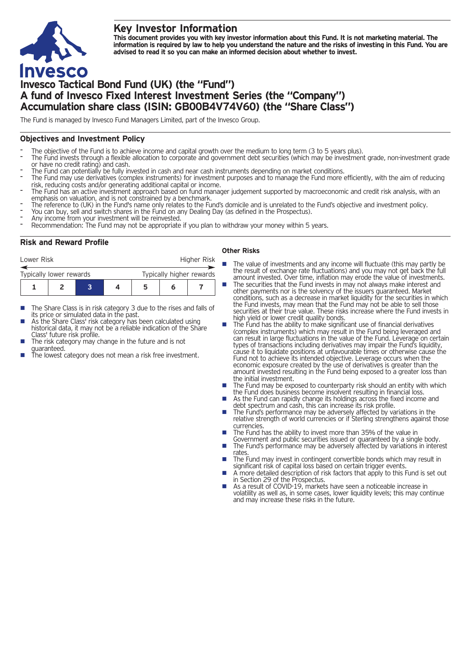## **Key Investor Information**



This document provides you with key investor information about this Fund. It is not marketing material. The information is required by law to help you understand the nature and the risks of investing in this Fund. You are **advised to read it so you can make an informed decision about whether to invest.**

# **Invesco Tactical Bond Fund (UK) (the "Fund") A fund of Invesco Fixed Interest Investment Series (the "Company") Accumulation share class (ISIN: GB00B4V74V60) (the "Share Class")**

The Fund is managed by Invesco Fund Managers Limited, part of the Invesco Group.

#### **Objectives and Investment Policy**

- 
- The objective of the Fund is to achieve income and capital growth over the medium to long term (3 to 5 years plus).<br>The Fund invests through a flexible allocation to corporate and government debt securities (which may be i
- 
- The Fund can potentially be fully invested in cash and near cash instruments depending on market conditions.<br>The Fund may use derivatives (complex instruments) for investment purposes and to manage the Fund more efficientl
- The Fund has an active investment approach based on fund manager judgement supported by macroeconomic and credit risk analysis, with an<br>emphasis on valuation, and is not constrained by a benchmark.
- The reference to (UK) in the Fund's name only relates to the Fund's domicile and is unrelated to the Fund's objective and investment policy.<br>You can buy, sell and switch shares in the Fund on any Dealing Day (as defined in
- 
- 
- 

#### **Risk and Reward Profile**

| Lower Risk              |  |  |  | Higher Risk              |   |  |  |
|-------------------------|--|--|--|--------------------------|---|--|--|
| Typically lower rewards |  |  |  | Typically higher rewards |   |  |  |
|                         |  |  |  | 5                        | n |  |  |

- The Share Class is in risk category 3 due to the rises and falls of its price or simulated data in the past.
- As the Share Class' risk category has been calculated using historical data, it may not be a reliable indication of the Share<br>Class' future risk profile.
- The risk category may change in the future and is not
- guaranteed.  $\frac{1}{\pi}$  is the lowest category does not mean a risk free investment.

#### **Other Risks**

- **n** The value of investments and any income will fluctuate (this may partly be the result of exchange rate fluctuations) and you may not get back the full amount invested. Over time, inflation may erode the value of investments.
- The securities that the Fund invests in may not always make interest and other payments nor is the solvency of the issuers guaranteed. Market conditions, such as a decrease in market liquidity for the securities in which the Fund invests, may mean that the Fund may not be able to sell those securities at their true value. These risks increase where the Fund invests in high yield or lower credit quality bonds.
- high yield or lower credit quality bonds. <sup>n</sup> The Fund has the ability to make significant use of financial derivatives (complex instruments) which may result in the Fund being leveraged and can result in large fluctuations in the value of the Fund. Leverage on certain types of transactions including derivatives may impair the Fund's liquidity, cause it to liquidate positions at unfavourable times or otherwise cause the Fund not to achieve its intended objective. Leverage occurs when the economic exposure created by the use of derivatives is greater than the amount invested resulting in the Fund being exposed to a greater loss than
- the initial investment.<br> **n** The Fund may be exposed to counterparty risk should an entity with which the Fund does business become insolvent resulting in financial loss. ■ As the Fund can rapidly change its holdings across the fixed income and
- As the Fund can rapidly change its holdings across the fixed income and debt spectrum and cash, this can increase its risk profile.<br>■ The Fund's performance may be adversely affected by variations in the
- relative strength of world currencies or if Sterling strengthens against those currencies.
- The Fund has the ability to invest more than 35% of the value in Government and public securities issued or guaranteed by a single body.
- The Fund's performance may be adversely affected by variations in interest<br>rates.
- The Fund may invest in contingent convertible bonds which may result in significant risk of capital loss based on certain trigger events.
- A more detailed description of risk factors that apply to this Fund is set out in Section 29 of the Prospectus.
- As a result of COVID-19, markets have seen a noticeable increase in volatility as well as, in some cases, lower liquidity levels; this may continue and may increase these risks in the future.